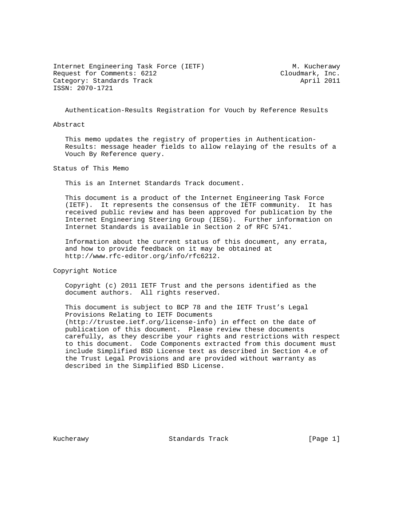Internet Engineering Task Force (IETF) M. Kucherawy Request for Comments: 6212 Cloudmark, Inc. Category: Standards Track April 2011 ISSN: 2070-1721

Authentication-Results Registration for Vouch by Reference Results

Abstract

 This memo updates the registry of properties in Authentication- Results: message header fields to allow relaying of the results of a Vouch By Reference query.

Status of This Memo

This is an Internet Standards Track document.

 This document is a product of the Internet Engineering Task Force (IETF). It represents the consensus of the IETF community. It has received public review and has been approved for publication by the Internet Engineering Steering Group (IESG). Further information on Internet Standards is available in Section 2 of RFC 5741.

 Information about the current status of this document, any errata, and how to provide feedback on it may be obtained at http://www.rfc-editor.org/info/rfc6212.

Copyright Notice

 Copyright (c) 2011 IETF Trust and the persons identified as the document authors. All rights reserved.

 This document is subject to BCP 78 and the IETF Trust's Legal Provisions Relating to IETF Documents (http://trustee.ietf.org/license-info) in effect on the date of publication of this document. Please review these documents carefully, as they describe your rights and restrictions with respect to this document. Code Components extracted from this document must include Simplified BSD License text as described in Section 4.e of the Trust Legal Provisions and are provided without warranty as described in the Simplified BSD License.

Kucherawy Standards Track [Page 1]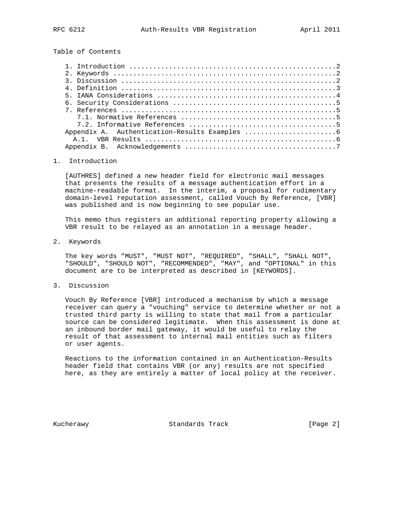Table of Contents

## 1. Introduction

 [AUTHRES] defined a new header field for electronic mail messages that presents the results of a message authentication effort in a machine-readable format. In the interim, a proposal for rudimentary domain-level reputation assessment, called Vouch By Reference, [VBR] was published and is now beginning to see popular use.

 This memo thus registers an additional reporting property allowing a VBR result to be relayed as an annotation in a message header.

2. Keywords

 The key words "MUST", "MUST NOT", "REQUIRED", "SHALL", "SHALL NOT", "SHOULD", "SHOULD NOT", "RECOMMENDED", "MAY", and "OPTIONAL" in this document are to be interpreted as described in [KEYWORDS].

3. Discussion

 Vouch By Reference [VBR] introduced a mechanism by which a message receiver can query a "vouching" service to determine whether or not a trusted third party is willing to state that mail from a particular source can be considered legitimate. When this assessment is done at an inbound border mail gateway, it would be useful to relay the result of that assessment to internal mail entities such as filters or user agents.

 Reactions to the information contained in an Authentication-Results header field that contains VBR (or any) results are not specified here, as they are entirely a matter of local policy at the receiver.

Kucherawy Standards Track [Page 2]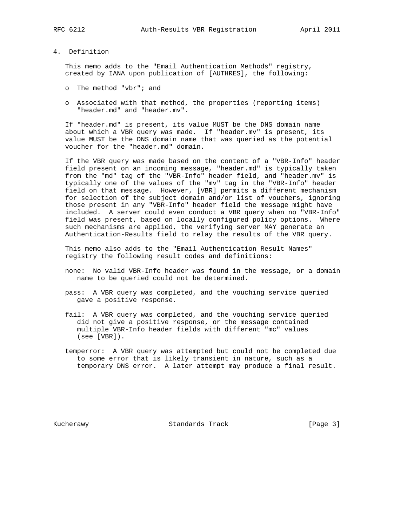## 4. Definition

 This memo adds to the "Email Authentication Methods" registry, created by IANA upon publication of [AUTHRES], the following:

- o The method "vbr"; and
- o Associated with that method, the properties (reporting items) "header.md" and "header.mv".

 If "header.md" is present, its value MUST be the DNS domain name about which a VBR query was made. If "header.mv" is present, its value MUST be the DNS domain name that was queried as the potential voucher for the "header.md" domain.

 If the VBR query was made based on the content of a "VBR-Info" header field present on an incoming message, "header.md" is typically taken from the "md" tag of the "VBR-Info" header field, and "header.mv" is typically one of the values of the "mv" tag in the "VBR-Info" header field on that message. However, [VBR] permits a different mechanism for selection of the subject domain and/or list of vouchers, ignoring those present in any "VBR-Info" header field the message might have included. A server could even conduct a VBR query when no "VBR-Info" field was present, based on locally configured policy options. Where such mechanisms are applied, the verifying server MAY generate an Authentication-Results field to relay the results of the VBR query.

 This memo also adds to the "Email Authentication Result Names" registry the following result codes and definitions:

- none: No valid VBR-Info header was found in the message, or a domain name to be queried could not be determined.
- pass: A VBR query was completed, and the vouching service queried gave a positive response.
- fail: A VBR query was completed, and the vouching service queried did not give a positive response, or the message contained multiple VBR-Info header fields with different "mc" values (see [VBR]).
- temperror: A VBR query was attempted but could not be completed due to some error that is likely transient in nature, such as a temporary DNS error. A later attempt may produce a final result.

Kucherawy Standards Track [Page 3]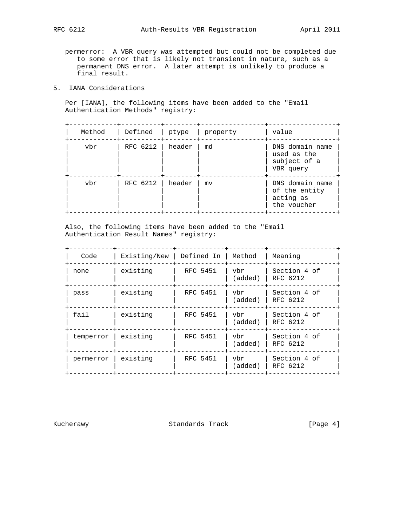permerror: A VBR query was attempted but could not be completed due to some error that is likely not transient in nature, such as a permanent DNS error. A later attempt is unlikely to produce a final result.

5. IANA Considerations

 Per [IANA], the following items have been added to the "Email Authentication Methods" registry:

| Method | Defined             |        | ptype   property | value                                                        |
|--------|---------------------|--------|------------------|--------------------------------------------------------------|
| ybr    | RFC $6212$   header |        | md               | DNS domain name<br>used as the<br>subject of a<br>VBR query  |
| ybr    | RFC 6212            | header | m <sub>V</sub>   | DNS domain name<br>of the entity<br>acting as<br>the voucher |

 Also, the following items have been added to the "Email Authentication Result Names" registry:

| Code      | Existing/New | Defined In | Method         | Meaning                  |
|-----------|--------------|------------|----------------|--------------------------|
| none      | existing     | RFC 5451   | vbr<br>(added) | Section 4 of<br>RFC 6212 |
| pass      | existing     | RFC 5451   | vbr<br>(added) | Section 4 of<br>RFC 6212 |
| fail      | existing     | RFC 5451   | vbr<br>(added) | Section 4 of<br>RFC 6212 |
| temperror | existing     | RFC 5451   | vbr<br>(added) | Section 4 of<br>RFC 6212 |
| permerror | existing     | RFC 5451   | vbr<br>(added) | Section 4 of<br>RFC 6212 |

Kucherawy Standards Track [Page 4]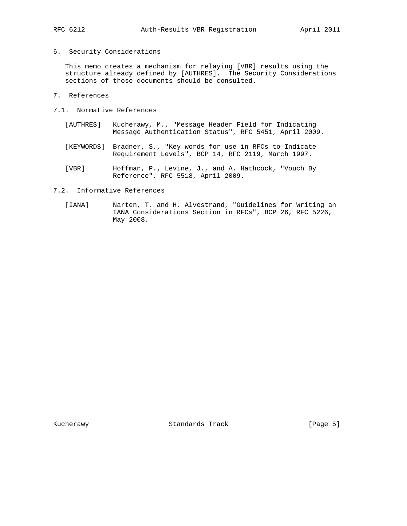6. Security Considerations

 This memo creates a mechanism for relaying [VBR] results using the structure already defined by [AUTHRES]. The Security Considerations sections of those documents should be consulted.

- 7. References
- 7.1. Normative References
	- [AUTHRES] Kucherawy, M., "Message Header Field for Indicating Message Authentication Status", RFC 5451, April 2009.
	- [KEYWORDS] Bradner, S., "Key words for use in RFCs to Indicate Requirement Levels", BCP 14, RFC 2119, March 1997.
	- [VBR] Hoffman, P., Levine, J., and A. Hathcock, "Vouch By Reference", RFC 5518, April 2009.
- 7.2. Informative References
	- [IANA] Narten, T. and H. Alvestrand, "Guidelines for Writing an IANA Considerations Section in RFCs", BCP 26, RFC 5226, May 2008.

Kucherawy Standards Track [Page 5]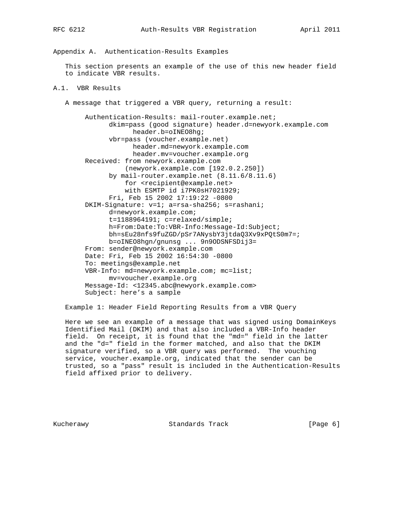Appendix A. Authentication-Results Examples

 This section presents an example of the use of this new header field to indicate VBR results.

## A.1. VBR Results

A message that triggered a VBR query, returning a result:

 Authentication-Results: mail-router.example.net; dkim=pass (good signature) header.d=newyork.example.com header.b=oINEO8hg; vbr=pass (voucher.example.net) header.md=newyork.example.com header.mv=voucher.example.org Received: from newyork.example.com (newyork.example.com [192.0.2.250]) by mail-router.example.net (8.11.6/8.11.6) for <recipient@example.net> with ESMTP id i7PK0sH7021929; Fri, Feb 15 2002 17:19:22 -0800 DKIM-Signature: v=1; a=rsa-sha256; s=rashani; d=newyork.example.com; t=1188964191; c=relaxed/simple; h=From:Date:To:VBR-Info:Message-Id:Subject; bh=sEu28nfs9fuZGD/pSr7ANysbY3jtdaQ3Xv9xPQtS0m7=; b=oINEO8hgn/gnunsg ... 9n9ODSNFSDij3= From: sender@newyork.example.com Date: Fri, Feb 15 2002 16:54:30 -0800 To: meetings@example.net VBR-Info: md=newyork.example.com; mc=list; mv=voucher.example.org Message-Id: <12345.abc@newyork.example.com> Subject: here's a sample

Example 1: Header Field Reporting Results from a VBR Query

 Here we see an example of a message that was signed using DomainKeys Identified Mail (DKIM) and that also included a VBR-Info header field. On receipt, it is found that the "md=" field in the latter and the "d=" field in the former matched, and also that the DKIM signature verified, so a VBR query was performed. The vouching service, voucher.example.org, indicated that the sender can be trusted, so a "pass" result is included in the Authentication-Results field affixed prior to delivery.

Kucherawy Standards Track [Page 6]